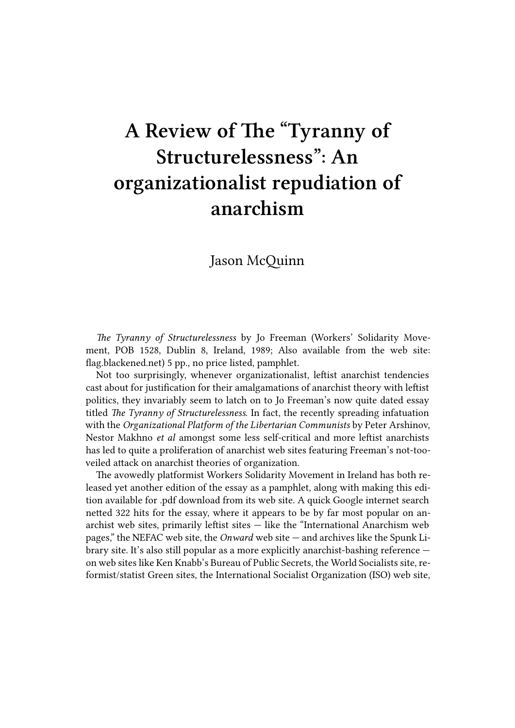## **A Review of The "Tyranny of Structurelessness": An organizationalist repudiation of anarchism**

Jason McQuinn

*The Tyranny of Structurelessness* by Jo Freeman (Workers' Solidarity Movement, POB 1528, Dublin 8, Ireland, 1989; Also available from the web site: flag.blackened.net) 5 pp., no price listed, pamphlet.

Not too surprisingly, whenever organizationalist, leftist anarchist tendencies cast about for justification for their amalgamations of anarchist theory with leftist [politics, they inva](http://flag.blackened.net/revolt/wsm/)riably seem to latch on to Jo Freeman's now quite dated essay titled *The Tyranny of Structurelessness*. In fact, the recently spreading infatuation with the *Organizational Platform of the Libertarian Communists* by Peter Arshinov, Nestor Makhno *et al* amongst some less self-critical and more leftist anarchists has led to quite a proliferation of anarchist web sites featuring Freeman's not-tooveiled attack on anarchist theories of organization.

The avowedly platformist Workers Solidarity Movement in Ireland has both released yet another edition of the essay as a pamphlet, along with making this edition available for .pdf download from its web site. A quick Google internet search netted 322 hits for the essay, where it appears to be by far most popular on anarchist web sites, primarily leftist sites — like the "International Anarchism web pages," the NEFAC web site, the *Onward* web site — and archives like the Spunk Library site. It's also still popular as a more explicitly anarchist-bashing reference on web sites like Ken Knabb's Bureau of Public Secrets, the World Socialists site, reformist/statist Green sites, the International Socialist Organization (ISO) web site,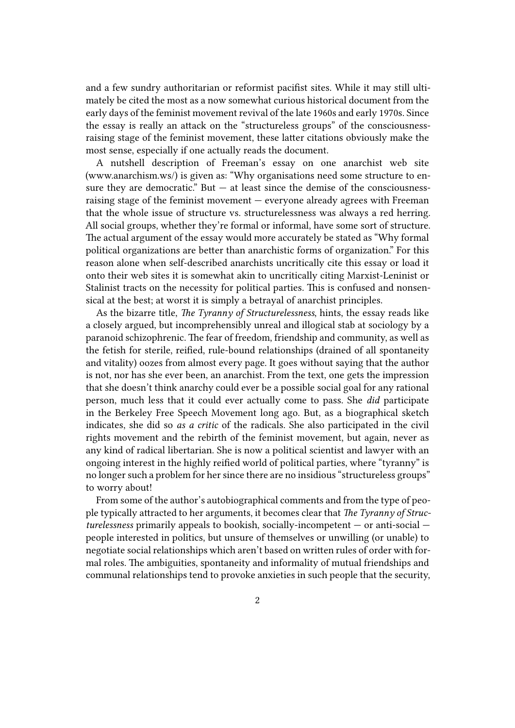and a few sundry authoritarian or reformist pacifist sites. While it may still ultimately be cited the most as a now somewhat curious historical document from the early days of the feminist movement revival of the late 1960s and early 1970s. Since the essay is really an attack on the "structureless groups" of the consciousnessraising stage of the feminist movement, these latter citations obviously make the most sense, especially if one actually reads the document.

A nutshell description of Freeman's essay on one anarchist web site (www.anarchism.ws/) is given as: "Why organisations need some structure to ensure they are democratic." But  $-$  at least since the demise of the consciousnessraising stage of the feminist movement — everyone already agrees with Freeman that the whole issue of structure vs. structurelessness was always a red herring. All social groups, whether they're formal or informal, have some sort of structure. The actual argument of the essay would more accurately be stated as "Why formal political organizations are better than anarchistic forms of organization." For this reason alone when self-described anarchists uncritically cite this essay or load it onto their web sites it is somewhat akin to uncritically citing Marxist-Leninist or Stalinist tracts on the necessity for political parties. This is confused and nonsensical at the best; at worst it is simply a betrayal of anarchist principles.

As the bizarre title, *The Tyranny of Structurelessness*, hints, the essay reads like a closely argued, but incomprehensibly unreal and illogical stab at sociology by a paranoid schizophrenic. The fear of freedom, friendship and community, as well as the fetish for sterile, reified, rule-bound relationships (drained of all spontaneity and vitality) oozes from almost every page. It goes without saying that the author is not, nor has she ever been, an anarchist. From the text, one gets the impression that she doesn't think anarchy could ever be a possible social goal for any rational person, much less that it could ever actually come to pass. She *did* participate in the Berkeley Free Speech Movement long ago. But, as a biographical sketch indicates, she did so *as a critic* of the radicals. She also participated in the civil rights movement and the rebirth of the feminist movement, but again, never as any kind of radical libertarian. She is now a political scientist and lawyer with an ongoing interest in the highly reified world of political parties, where "tyranny" is no longer such a problem for her since there are no insidious "structureless groups" to worry about!

From some of the author's autobiographical comments and from the type of people typically attracted to her arguments, it becomes clear that *The Tyranny of Structurelessness* primarily appeals to bookish, socially-incompetent — or anti-social people interested in politics, but unsure of themselves or unwilling (or unable) to negotiate social relationships which aren't based on written rules of order with formal roles. The ambiguities, spontaneity and informality of mutual friendships and communal relationships tend to provoke anxieties in such people that the security,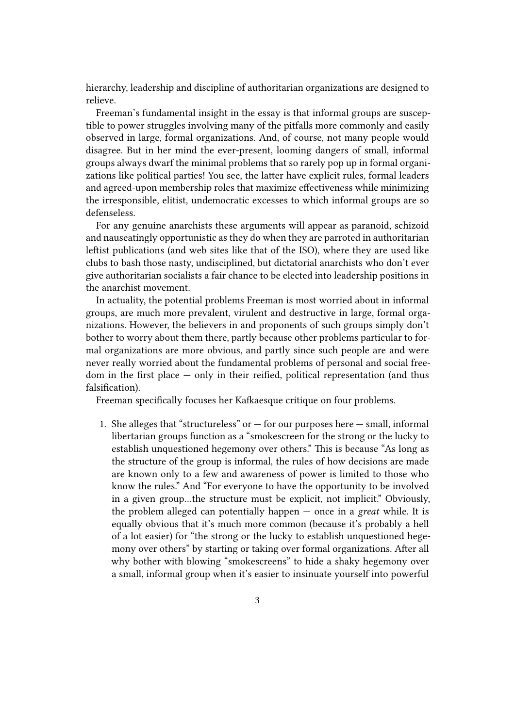hierarchy, leadership and discipline of authoritarian organizations are designed to relieve.

Freeman's fundamental insight in the essay is that informal groups are susceptible to power struggles involving many of the pitfalls more commonly and easily observed in large, formal organizations. And, of course, not many people would disagree. But in her mind the ever-present, looming dangers of small, informal groups always dwarf the minimal problems that so rarely pop up in formal organizations like political parties! You see, the latter have explicit rules, formal leaders and agreed-upon membership roles that maximize effectiveness while minimizing the irresponsible, elitist, undemocratic excesses to which informal groups are so defenseless.

For any genuine anarchists these arguments will appear as paranoid, schizoid and nauseatingly opportunistic as they do when they are parroted in authoritarian leftist publications (and web sites like that of the ISO), where they are used like clubs to bash those nasty, undisciplined, but dictatorial anarchists who don't ever give authoritarian socialists a fair chance to be elected into leadership positions in the anarchist movement.

In actuality, the potential problems Freeman is most worried about in informal groups, are much more prevalent, virulent and destructive in large, formal organizations. However, the believers in and proponents of such groups simply don't bother to worry about them there, partly because other problems particular to formal organizations are more obvious, and partly since such people are and were never really worried about the fundamental problems of personal and social freedom in the first place — only in their reified, political representation (and thus falsification).

Freeman specifically focuses her Kafkaesque critique on four problems.

1. She alleges that "structureless" or  $-$  for our purposes here  $-$  small, informal libertarian groups function as a "smokescreen for the strong or the lucky to establish unquestioned hegemony over others." This is because "As long as the structure of the group is informal, the rules of how decisions are made are known only to a few and awareness of power is limited to those who know the rules." And "For everyone to have the opportunity to be involved in a given group…the structure must be explicit, not implicit." Obviously, the problem alleged can potentially happen — once in a *great* while. It is equally obvious that it's much more common (because it's probably a hell of a lot easier) for "the strong or the lucky to establish unquestioned hegemony over others" by starting or taking over formal organizations. After all why bother with blowing "smokescreens" to hide a shaky hegemony over a small, informal group when it's easier to insinuate yourself into powerful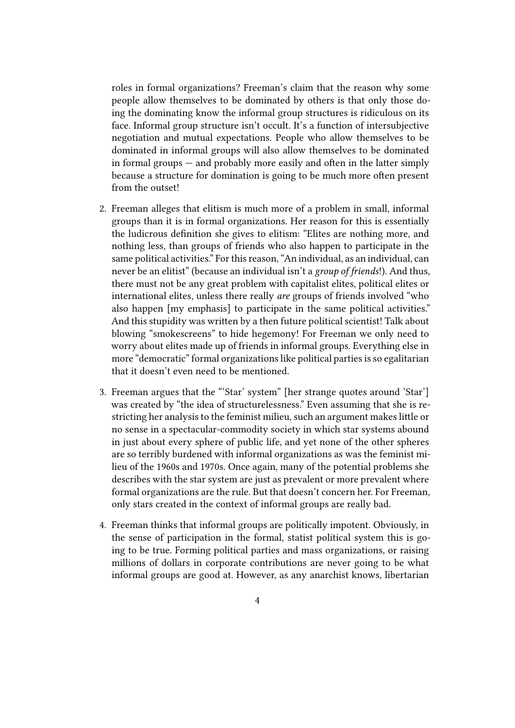roles in formal organizations? Freeman's claim that the reason why some people allow themselves to be dominated by others is that only those doing the dominating know the informal group structures is ridiculous on its face. Informal group structure isn't occult. It's a function of intersubjective negotiation and mutual expectations. People who allow themselves to be dominated in informal groups will also allow themselves to be dominated in formal groups — and probably more easily and often in the latter simply because a structure for domination is going to be much more often present from the outset!

- 2. Freeman alleges that elitism is much more of a problem in small, informal groups than it is in formal organizations. Her reason for this is essentially the ludicrous definition she gives to elitism: "Elites are nothing more, and nothing less, than groups of friends who also happen to participate in the same political activities." For this reason, "An individual, as an individual, can never be an elitist" (because an individual isn't a *group of friends*!). And thus, there must not be any great problem with capitalist elites, political elites or international elites, unless there really *are* groups of friends involved "who also happen [my emphasis] to participate in the same political activities." And this stupidity was written by a then future political scientist! Talk about blowing "smokescreens" to hide hegemony! For Freeman we only need to worry about elites made up of friends in informal groups. Everything else in more "democratic" formal organizations like political parties is so egalitarian that it doesn't even need to be mentioned.
- 3. Freeman argues that the "'Star' system" [her strange quotes around 'Star'] was created by "the idea of structurelessness." Even assuming that she is restricting her analysis to the feminist milieu, such an argument makes little or no sense in a spectacular-commodity society in which star systems abound in just about every sphere of public life, and yet none of the other spheres are so terribly burdened with informal organizations as was the feminist milieu of the 1960s and 1970s. Once again, many of the potential problems she describes with the star system are just as prevalent or more prevalent where formal organizations are the rule. But that doesn't concern her. For Freeman, only stars created in the context of informal groups are really bad.
- 4. Freeman thinks that informal groups are politically impotent. Obviously, in the sense of participation in the formal, statist political system this is going to be true. Forming political parties and mass organizations, or raising millions of dollars in corporate contributions are never going to be what informal groups are good at. However, as any anarchist knows, libertarian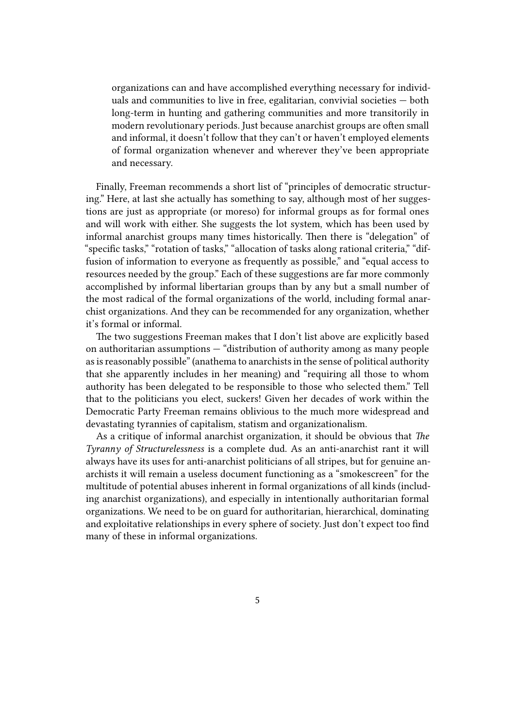organizations can and have accomplished everything necessary for individuals and communities to live in free, egalitarian, convivial societies — both long-term in hunting and gathering communities and more transitorily in modern revolutionary periods. Just because anarchist groups are often small and informal, it doesn't follow that they can't or haven't employed elements of formal organization whenever and wherever they've been appropriate and necessary.

Finally, Freeman recommends a short list of "principles of democratic structuring." Here, at last she actually has something to say, although most of her suggestions are just as appropriate (or moreso) for informal groups as for formal ones and will work with either. She suggests the lot system, which has been used by informal anarchist groups many times historically. Then there is "delegation" of "specific tasks," "rotation of tasks," "allocation of tasks along rational criteria," "diffusion of information to everyone as frequently as possible," and "equal access to resources needed by the group." Each of these suggestions are far more commonly accomplished by informal libertarian groups than by any but a small number of the most radical of the formal organizations of the world, including formal anarchist organizations. And they can be recommended for any organization, whether it's formal or informal.

The two suggestions Freeman makes that I don't list above are explicitly based on authoritarian assumptions — "distribution of authority among as many people as is reasonably possible" (anathema to anarchists in the sense of political authority that she apparently includes in her meaning) and "requiring all those to whom authority has been delegated to be responsible to those who selected them." Tell that to the politicians you elect, suckers! Given her decades of work within the Democratic Party Freeman remains oblivious to the much more widespread and devastating tyrannies of capitalism, statism and organizationalism.

As a critique of informal anarchist organization, it should be obvious that *The Tyranny of Structurelessness* is a complete dud. As an anti-anarchist rant it will always have its uses for anti-anarchist politicians of all stripes, but for genuine anarchists it will remain a useless document functioning as a "smokescreen" for the multitude of potential abuses inherent in formal organizations of all kinds (including anarchist organizations), and especially in intentionally authoritarian formal organizations. We need to be on guard for authoritarian, hierarchical, dominating and exploitative relationships in every sphere of society. Just don't expect too find many of these in informal organizations.